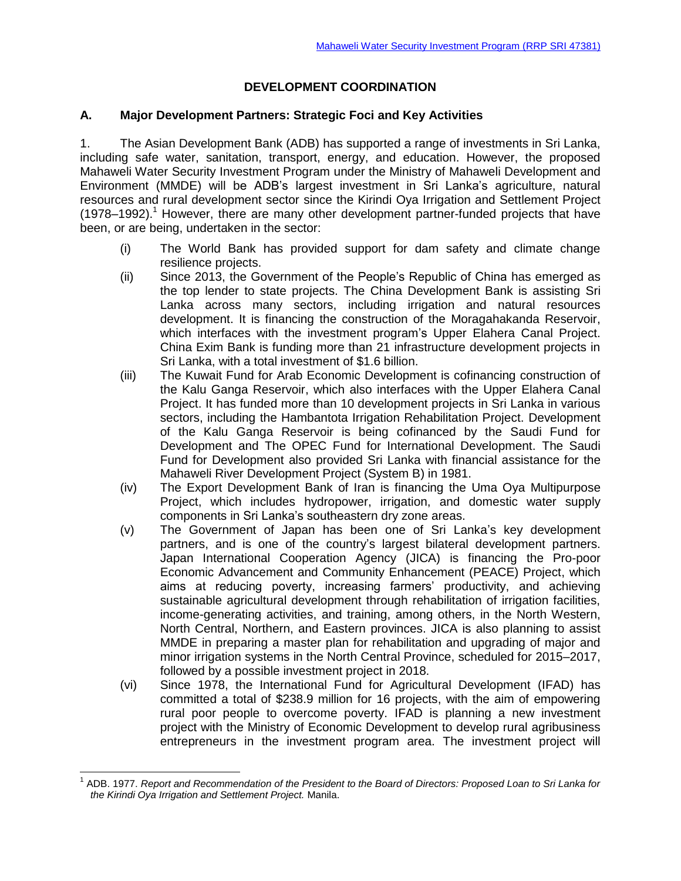# **DEVELOPMENT COORDINATION**

# **A. Major Development Partners: Strategic Foci and Key Activities**

1. The Asian Development Bank (ADB) has supported a range of investments in Sri Lanka, including safe water, sanitation, transport, energy, and education. However, the proposed Mahaweli Water Security Investment Program under the Ministry of Mahaweli Development and Environment (MMDE) will be ADB's largest investment in Sri Lanka's agriculture, natural resources and rural development sector since the Kirindi Oya Irrigation and Settlement Project  $(1978-1992).$ <sup>1</sup> However, there are many other development partner-funded projects that have been, or are being, undertaken in the sector:

- (i) The World Bank has provided support for dam safety and climate change resilience projects.
- (ii) Since 2013, the Government of the People's Republic of China has emerged as the top lender to state projects. The China Development Bank is assisting Sri Lanka across many sectors, including irrigation and natural resources development. It is financing the construction of the Moragahakanda Reservoir, which interfaces with the investment program's Upper Elahera Canal Project. China Exim Bank is funding more than 21 infrastructure development projects in Sri Lanka, with a total investment of \$1.6 billion.
- (iii) The Kuwait Fund for Arab Economic Development is cofinancing construction of the Kalu Ganga Reservoir, which also interfaces with the Upper Elahera Canal Project. It has funded more than 10 development projects in Sri Lanka in various sectors, including the Hambantota Irrigation Rehabilitation Project. Development of the Kalu Ganga Reservoir is being cofinanced by the Saudi Fund for Development and The OPEC Fund for International Development. The Saudi Fund for Development also provided Sri Lanka with financial assistance for the Mahaweli River Development Project (System B) in 1981.
- (iv) The Export Development Bank of Iran is financing the Uma Oya Multipurpose Project, which includes hydropower, irrigation, and domestic water supply components in Sri Lanka's southeastern dry zone areas.
- (v) The Government of Japan has been one of Sri Lanka's key development partners, and is one of the country's largest bilateral development partners. Japan International Cooperation Agency (JICA) is financing the Pro-poor Economic Advancement and Community Enhancement (PEACE) Project, which aims at reducing poverty, increasing farmers' productivity, and achieving sustainable agricultural development through rehabilitation of irrigation facilities, income-generating activities, and training, among others, in the North Western, North Central, Northern, and Eastern provinces. JICA is also planning to assist MMDE in preparing a master plan for rehabilitation and upgrading of major and minor irrigation systems in the North Central Province, scheduled for 2015–2017, followed by a possible investment project in 2018.
- (vi) Since 1978, the International Fund for Agricultural Development (IFAD) has committed a total of \$238.9 million for 16 projects, with the aim of empowering rural poor people to overcome poverty. IFAD is planning a new investment project with the Ministry of Economic Development to develop rural agribusiness entrepreneurs in the investment program area. The investment project will

 $\overline{a}$ 

<sup>&</sup>lt;sup>1</sup> ADB. 1977. *Report and Recommendation of the President to the Board of Directors: Proposed Loan to Sri Lanka for the Kirindi Oya Irrigation and Settlement Project.* Manila.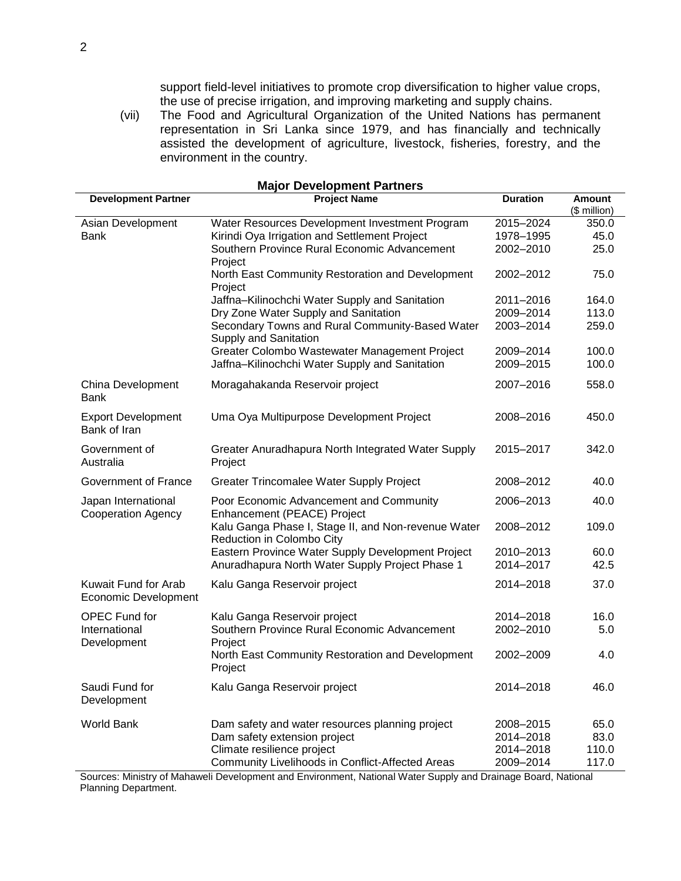support field-level initiatives to promote crop diversification to higher value crops, the use of precise irrigation, and improving marketing and supply chains.

(vii) The Food and Agricultural Organization of the United Nations has permanent representation in Sri Lanka since 1979, and has financially and technically assisted the development of agriculture, livestock, fisheries, forestry, and the environment in the country.

| <b>Major Development Partners</b>                |                                                                                  |                 |               |
|--------------------------------------------------|----------------------------------------------------------------------------------|-----------------|---------------|
| <b>Development Partner</b>                       | <b>Project Name</b>                                                              | <b>Duration</b> | <b>Amount</b> |
|                                                  |                                                                                  |                 | (\$ million)  |
| Asian Development                                | Water Resources Development Investment Program                                   | 2015-2024       | 350.0         |
| Bank                                             | Kirindi Oya Irrigation and Settlement Project                                    | 1978-1995       | 45.0          |
|                                                  | Southern Province Rural Economic Advancement                                     | 2002-2010       | 25.0          |
|                                                  | Project                                                                          |                 |               |
|                                                  | North East Community Restoration and Development<br>Project                      | 2002-2012       | 75.0          |
|                                                  | Jaffna-Kilinochchi Water Supply and Sanitation                                   | 2011-2016       | 164.0         |
|                                                  | Dry Zone Water Supply and Sanitation                                             | 2009-2014       | 113.0         |
|                                                  | Secondary Towns and Rural Community-Based Water<br>Supply and Sanitation         | 2003-2014       | 259.0         |
|                                                  | Greater Colombo Wastewater Management Project                                    | 2009-2014       | 100.0         |
|                                                  | Jaffna-Kilinochchi Water Supply and Sanitation                                   | 2009-2015       | 100.0         |
|                                                  |                                                                                  |                 |               |
| China Development<br><b>Bank</b>                 | Moragahakanda Reservoir project                                                  | 2007-2016       | 558.0         |
| <b>Export Development</b>                        | Uma Oya Multipurpose Development Project                                         | 2008-2016       | 450.0         |
| Bank of Iran                                     |                                                                                  |                 |               |
| Government of<br>Australia                       | Greater Anuradhapura North Integrated Water Supply<br>Project                    | 2015-2017       | 342.0         |
| Government of France                             | Greater Trincomalee Water Supply Project                                         | 2008-2012       | 40.0          |
|                                                  |                                                                                  |                 |               |
| Japan International<br><b>Cooperation Agency</b> | Poor Economic Advancement and Community<br>Enhancement (PEACE) Project           | 2006-2013       | 40.0          |
|                                                  | Kalu Ganga Phase I, Stage II, and Non-revenue Water<br>Reduction in Colombo City | 2008-2012       | 109.0         |
|                                                  | Eastern Province Water Supply Development Project                                | 2010-2013       | 60.0          |
|                                                  | Anuradhapura North Water Supply Project Phase 1                                  | 2014-2017       | 42.5          |
|                                                  |                                                                                  |                 |               |
| Kuwait Fund for Arab<br>Economic Development     | Kalu Ganga Reservoir project                                                     | 2014-2018       | 37.0          |
| <b>OPEC Fund for</b>                             | Kalu Ganga Reservoir project                                                     | 2014-2018       | 16.0          |
| International                                    | Southern Province Rural Economic Advancement                                     | 2002-2010       | 5.0           |
| Development                                      | Project                                                                          |                 |               |
|                                                  | North East Community Restoration and Development<br>Project                      | 2002-2009       | 4.0           |
|                                                  |                                                                                  |                 |               |
| Saudi Fund for<br>Development                    | Kalu Ganga Reservoir project                                                     | 2014-2018       | 46.0          |
|                                                  |                                                                                  |                 |               |
| <b>World Bank</b>                                | Dam safety and water resources planning project                                  | 2008-2015       | 65.0          |
|                                                  | Dam safety extension project                                                     | 2014-2018       | 83.0          |
|                                                  | Climate resilience project                                                       | 2014-2018       | 110.0         |
|                                                  | Community Livelihoods in Conflict-Affected Areas                                 | 2009-2014       | 117.0         |

Sources: Ministry of Mahaweli Development and Environment, National Water Supply and Drainage Board, National Planning Department.